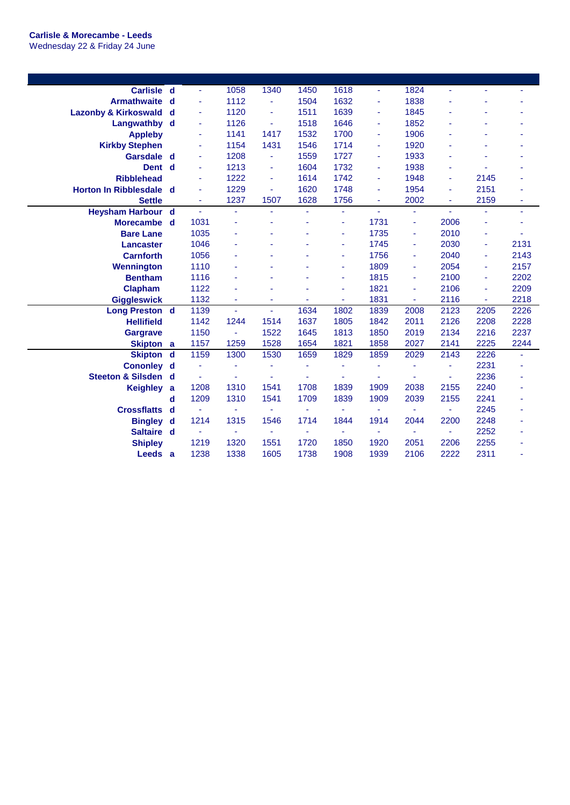| <b>Carlisle</b>                 | $\mathbf d$ | $\blacksquare$ | 1058           | 1340                     | 1450           | 1618           | $\blacksquare$ | 1824 |                |      |      |
|---------------------------------|-------------|----------------|----------------|--------------------------|----------------|----------------|----------------|------|----------------|------|------|
| <b>Armathwaite</b>              | d           | ä,             | 1112           |                          | 1504           | 1632           | ä,             | 1838 |                |      |      |
| <b>Lazonby &amp; Kirkoswald</b> | d           | $\blacksquare$ | 1120           | ٠                        | 1511           | 1639           | ä,             | 1845 |                |      |      |
| Langwathby                      | d           | ÷              | 1126           | $\overline{\phantom{a}}$ | 1518           | 1646           | ÷              | 1852 | ä,             | ۳    |      |
| <b>Appleby</b>                  |             | ä,             | 1141           | 1417                     | 1532           | 1700           | ä,             | 1906 |                |      |      |
| <b>Kirkby Stephen</b>           |             | ä,             | 1154           | 1431                     | 1546           | 1714           | ä,             | 1920 |                | L    |      |
| Garsdale d                      |             | ä,             | 1208           | ÷.                       | 1559           | 1727           | ä,             | 1933 |                |      |      |
| Dent d                          |             | ä,             | 1213           | ä,                       | 1604           | 1732           | ä,             | 1938 | ۰              |      |      |
| <b>Ribblehead</b>               |             | ä,             | 1222           | $\overline{\phantom{a}}$ | 1614           | 1742           | ä,             | 1948 | ٠              | 2145 |      |
| <b>Horton In Ribblesdale</b>    | d           | ä,             | 1229           |                          | 1620           | 1748           | ä,             | 1954 | ä,             | 2151 |      |
| <b>Settle</b>                   |             | ÷              | 1237           | 1507                     | 1628           | 1756           | ÷              | 2002 | ٠              | 2159 | ÷    |
| <b>Heysham Harbour</b>          | d           | $\blacksquare$ | $\blacksquare$ | ä,                       | ٠              | ٠              | $\blacksquare$ | ٠    | ÷              | ä,   | ٠    |
| <b>Morecambe</b>                | d           | 1031           | ÷              |                          | ÷              | ۰              | 1731           | ä,   | 2006           | ä    |      |
| <b>Bare Lane</b>                |             | 1035           | $\blacksquare$ |                          |                | ٠              | 1735           | ä,   | 2010           | ä    |      |
| Lancaster                       |             | 1046           |                |                          |                | ٠              | 1745           | ä,   | 2030           | ä,   | 2131 |
| <b>Carnforth</b>                |             | 1056           |                |                          |                | ä,             | 1756           | ä,   | 2040           | ä,   | 2143 |
| <b>Wennington</b>               |             | 1110           |                |                          |                | ٠              | 1809           | ä,   | 2054           | ä,   | 2157 |
| <b>Bentham</b>                  |             | 1116           |                |                          |                |                | 1815           | ÷    | 2100           | ä,   | 2202 |
| <b>Clapham</b>                  |             | 1122           |                |                          |                | ä,             | 1821           | ä,   | 2106           | ä,   | 2209 |
| <b>Giggleswick</b>              |             | 1132           | ٠              | ٠                        | ٠              | ٠              | 1831           | ٠    | 2116           | ÷    | 2218 |
| <b>Long Preston</b> d           |             | 1139           | $\sim$         | ÷.                       | 1634           | 1802           | 1839           | 2008 | 2123           | 2205 | 2226 |
| <b>Hellifield</b>               |             | 1142           | 1244           | 1514                     | 1637           | 1805           | 1842           | 2011 | 2126           | 2208 | 2228 |
| <b>Gargrave</b>                 |             | 1150           | $\blacksquare$ | 1522                     | 1645           | 1813           | 1850           | 2019 | 2134           | 2216 | 2237 |
| Skipton a                       |             | 1157           | 1259           | 1528                     | 1654           | 1821           | 1858           | 2027 | 2141           | 2225 | 2244 |
| <b>Skipton</b>                  | $\mathbf d$ | 1159           | 1300           | 1530                     | 1659           | 1829           | 1859           | 2029 | 2143           | 2226 | ä,   |
| <b>Cononley</b>                 | d           |                | ÷,             |                          | ä,             |                | ä,             | ٠    | ä,             | 2231 |      |
| Steeton & Silsden d             |             |                | ÷,             |                          | ä,             |                |                |      |                | 2236 |      |
| <b>Keighley</b>                 | a           | 1208           | 1310           | 1541                     | 1708           | 1839           | 1909           | 2038 | 2155           | 2240 |      |
|                                 | d           | 1209           | 1310           | 1541                     | 1709           | 1839           | 1909           | 2039 | 2155           | 2241 |      |
| <b>Crossflatts</b>              | d           | $\blacksquare$ | ٠              | $\blacksquare$           | ÷              | ٠              | $\blacksquare$ | ٠    | ÷              | 2245 |      |
| <b>Bingley</b>                  | d           | 1214           | 1315           | 1546                     | 1714           | 1844           | 1914           | 2044 | 2200           | 2248 |      |
| Saltaire d                      |             | $\blacksquare$ | $\blacksquare$ | $\sim$                   | $\blacksquare$ | $\blacksquare$ | $\blacksquare$ | ÷    | $\blacksquare$ | 2252 |      |
| <b>Shipley</b>                  |             | 1219           | 1320           | 1551                     | 1720           | 1850           | 1920           | 2051 | 2206           | 2255 |      |
| Leeds a                         |             | 1238           | 1338           | 1605                     | 1738           | 1908           | 1939           | 2106 | 2222           | 2311 |      |